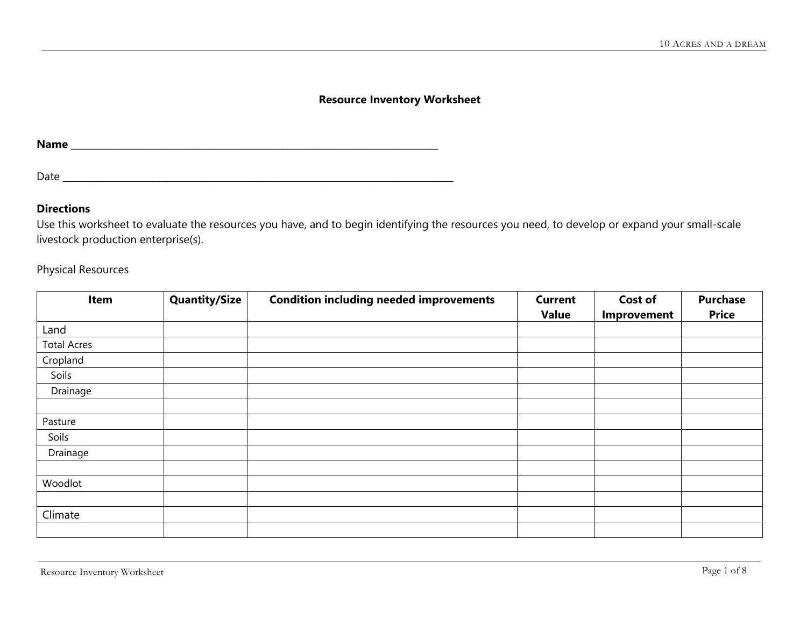### **Resource Inventory Worksheet**

**Name** \_\_\_\_\_\_\_\_\_\_\_\_\_\_\_\_\_\_\_\_\_\_\_\_\_\_\_\_\_\_\_\_\_\_\_\_\_\_\_\_\_\_\_\_\_\_\_\_\_\_\_\_\_\_\_\_\_\_\_\_\_\_\_\_\_\_\_\_\_\_\_\_\_\_\_\_\_\_\_

Date \_\_\_\_\_\_\_\_\_\_\_\_\_\_\_\_\_\_\_\_\_\_\_\_\_\_\_\_\_\_\_\_\_\_\_\_\_\_\_\_\_\_\_\_\_\_\_\_\_\_\_\_\_\_\_\_\_\_\_\_\_\_\_\_\_\_\_\_\_\_\_\_\_\_\_\_\_\_\_\_\_\_\_\_

### **Directions**

Use this worksheet to evaluate the resources you have, and to begin identifying the resources you need, to develop or expand your small-scale livestock production enterprise(s).

Physical Resources

| Item               | <b>Quantity/Size</b> | <b>Condition including needed improvements</b> | <b>Current</b> | Cost of     | <b>Purchase</b> |
|--------------------|----------------------|------------------------------------------------|----------------|-------------|-----------------|
|                    |                      |                                                | <b>Value</b>   | Improvement | <b>Price</b>    |
| Land               |                      |                                                |                |             |                 |
| <b>Total Acres</b> |                      |                                                |                |             |                 |
| Cropland           |                      |                                                |                |             |                 |
| Soils              |                      |                                                |                |             |                 |
| Drainage           |                      |                                                |                |             |                 |
|                    |                      |                                                |                |             |                 |
| Pasture            |                      |                                                |                |             |                 |
| Soils              |                      |                                                |                |             |                 |
| Drainage           |                      |                                                |                |             |                 |
|                    |                      |                                                |                |             |                 |
| Woodlot            |                      |                                                |                |             |                 |
|                    |                      |                                                |                |             |                 |
| Climate            |                      |                                                |                |             |                 |
|                    |                      |                                                |                |             |                 |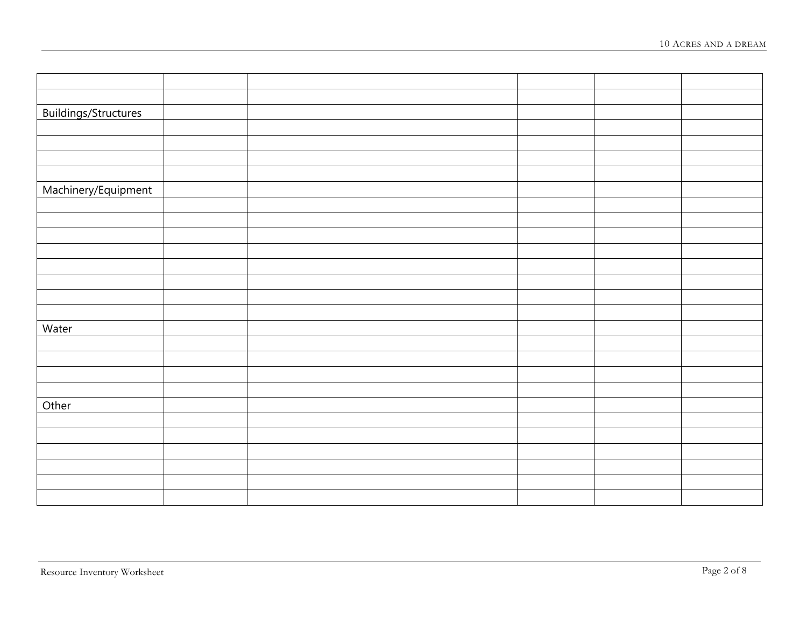| Buildings/Structures<br>Machinery/Equipment<br>Water<br>Other |  |  |  |
|---------------------------------------------------------------|--|--|--|
|                                                               |  |  |  |
|                                                               |  |  |  |
|                                                               |  |  |  |
|                                                               |  |  |  |
|                                                               |  |  |  |
|                                                               |  |  |  |
|                                                               |  |  |  |
|                                                               |  |  |  |
|                                                               |  |  |  |
|                                                               |  |  |  |
|                                                               |  |  |  |
|                                                               |  |  |  |
|                                                               |  |  |  |
|                                                               |  |  |  |
|                                                               |  |  |  |
|                                                               |  |  |  |
|                                                               |  |  |  |
|                                                               |  |  |  |
|                                                               |  |  |  |
|                                                               |  |  |  |
|                                                               |  |  |  |
|                                                               |  |  |  |
|                                                               |  |  |  |
|                                                               |  |  |  |
|                                                               |  |  |  |
|                                                               |  |  |  |
|                                                               |  |  |  |
|                                                               |  |  |  |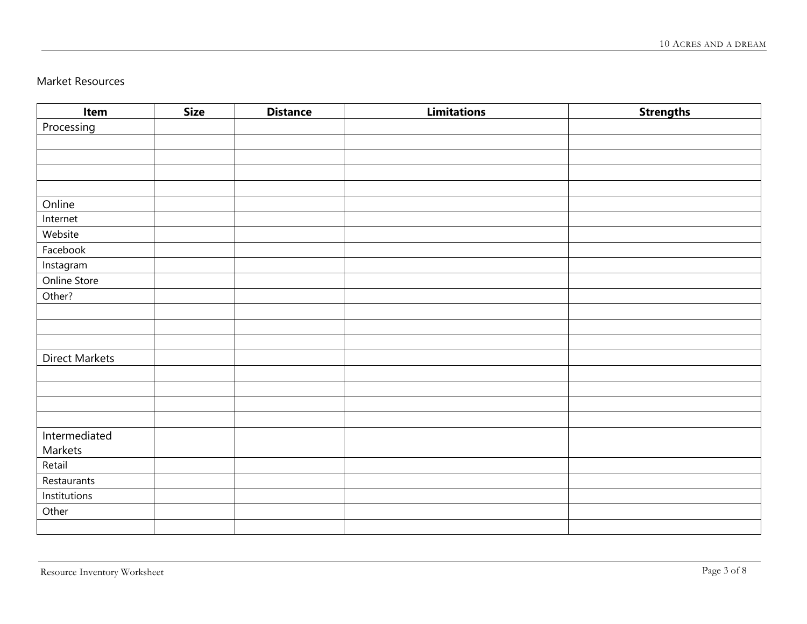# Market Resources

| Item           | <b>Size</b> | <b>Distance</b> | <b>Limitations</b> | <b>Strengths</b> |
|----------------|-------------|-----------------|--------------------|------------------|
| Processing     |             |                 |                    |                  |
|                |             |                 |                    |                  |
|                |             |                 |                    |                  |
|                |             |                 |                    |                  |
|                |             |                 |                    |                  |
| Online         |             |                 |                    |                  |
| Internet       |             |                 |                    |                  |
| Website        |             |                 |                    |                  |
| Facebook       |             |                 |                    |                  |
| Instagram      |             |                 |                    |                  |
| Online Store   |             |                 |                    |                  |
| Other?         |             |                 |                    |                  |
|                |             |                 |                    |                  |
|                |             |                 |                    |                  |
|                |             |                 |                    |                  |
| Direct Markets |             |                 |                    |                  |
|                |             |                 |                    |                  |
|                |             |                 |                    |                  |
|                |             |                 |                    |                  |
|                |             |                 |                    |                  |
| Intermediated  |             |                 |                    |                  |
| Markets        |             |                 |                    |                  |
| Retail         |             |                 |                    |                  |
| Restaurants    |             |                 |                    |                  |
| Institutions   |             |                 |                    |                  |
| Other          |             |                 |                    |                  |
|                |             |                 |                    |                  |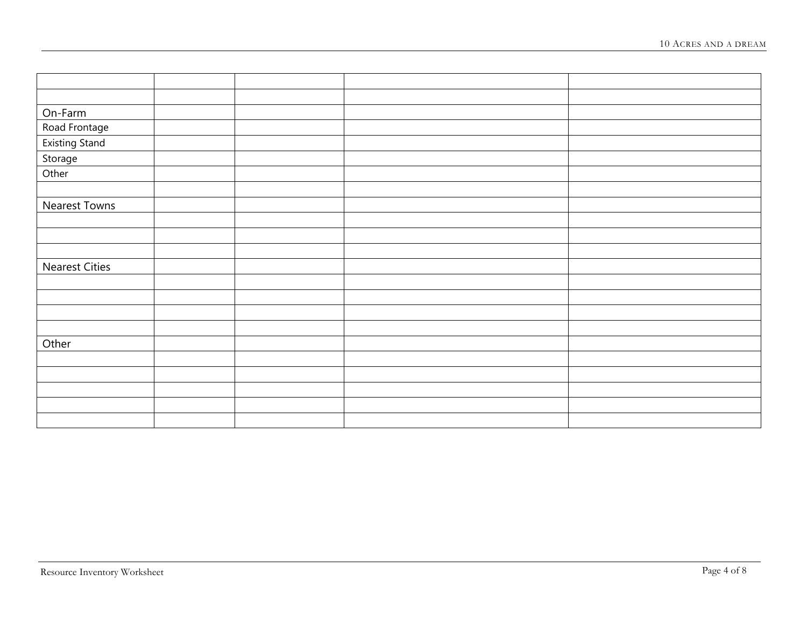| On-Farm               |  |  |
|-----------------------|--|--|
| Road Frontage         |  |  |
| <b>Existing Stand</b> |  |  |
| Storage               |  |  |
| Other                 |  |  |
|                       |  |  |
| <b>Nearest Towns</b>  |  |  |
|                       |  |  |
|                       |  |  |
|                       |  |  |
| <b>Nearest Cities</b> |  |  |
|                       |  |  |
|                       |  |  |
|                       |  |  |
|                       |  |  |
| Other                 |  |  |
|                       |  |  |
|                       |  |  |
|                       |  |  |
|                       |  |  |
|                       |  |  |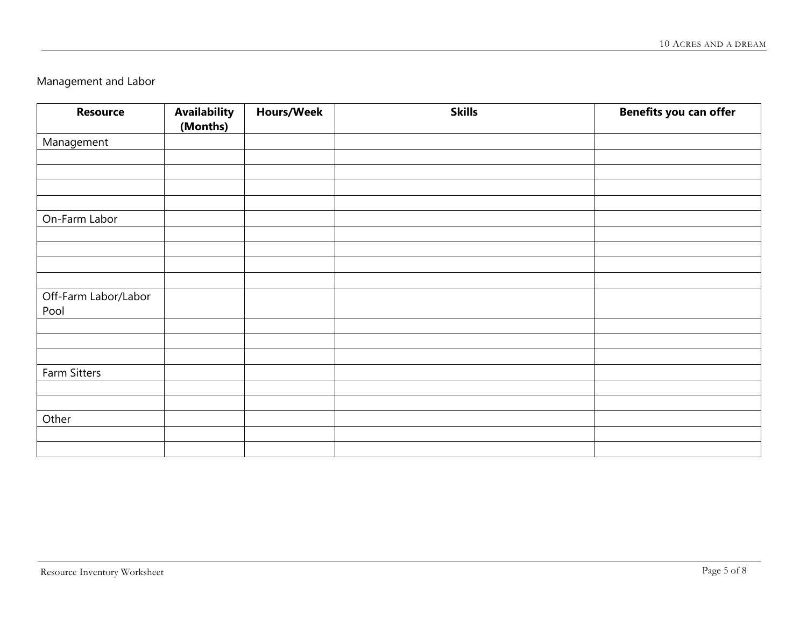Management and Labor

| <b>Resource</b>      | <b>Availability</b> | <b>Hours/Week</b> | <b>Skills</b> | <b>Benefits you can offer</b> |
|----------------------|---------------------|-------------------|---------------|-------------------------------|
|                      | (Months)            |                   |               |                               |
| Management           |                     |                   |               |                               |
|                      |                     |                   |               |                               |
|                      |                     |                   |               |                               |
|                      |                     |                   |               |                               |
|                      |                     |                   |               |                               |
| On-Farm Labor        |                     |                   |               |                               |
|                      |                     |                   |               |                               |
|                      |                     |                   |               |                               |
|                      |                     |                   |               |                               |
|                      |                     |                   |               |                               |
| Off-Farm Labor/Labor |                     |                   |               |                               |
| Pool                 |                     |                   |               |                               |
|                      |                     |                   |               |                               |
|                      |                     |                   |               |                               |
|                      |                     |                   |               |                               |
| Farm Sitters         |                     |                   |               |                               |
|                      |                     |                   |               |                               |
|                      |                     |                   |               |                               |
| Other                |                     |                   |               |                               |
|                      |                     |                   |               |                               |
|                      |                     |                   |               |                               |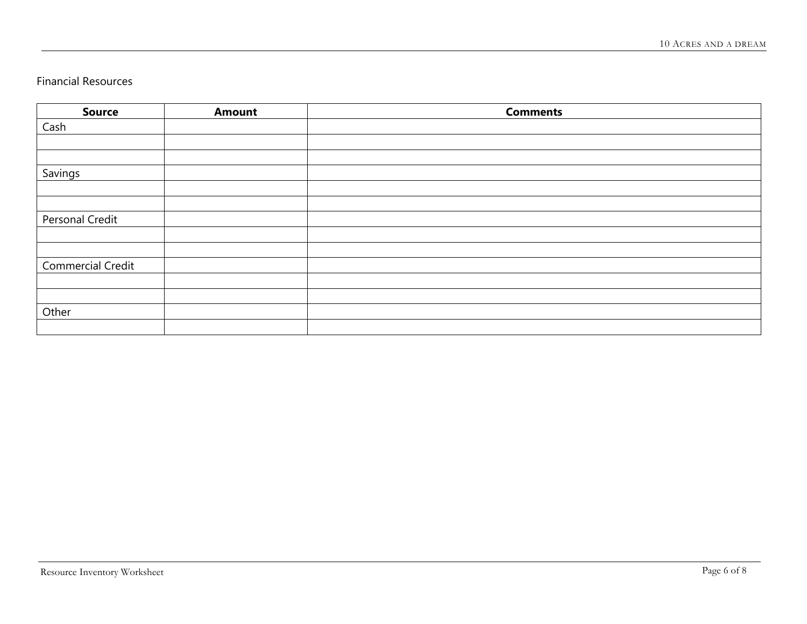# Financial Resources

| <b>Source</b>            | <b>Amount</b> | <b>Comments</b> |
|--------------------------|---------------|-----------------|
| Cash                     |               |                 |
|                          |               |                 |
|                          |               |                 |
| Savings                  |               |                 |
|                          |               |                 |
|                          |               |                 |
| Personal Credit          |               |                 |
|                          |               |                 |
|                          |               |                 |
| <b>Commercial Credit</b> |               |                 |
|                          |               |                 |
|                          |               |                 |
| Other                    |               |                 |
|                          |               |                 |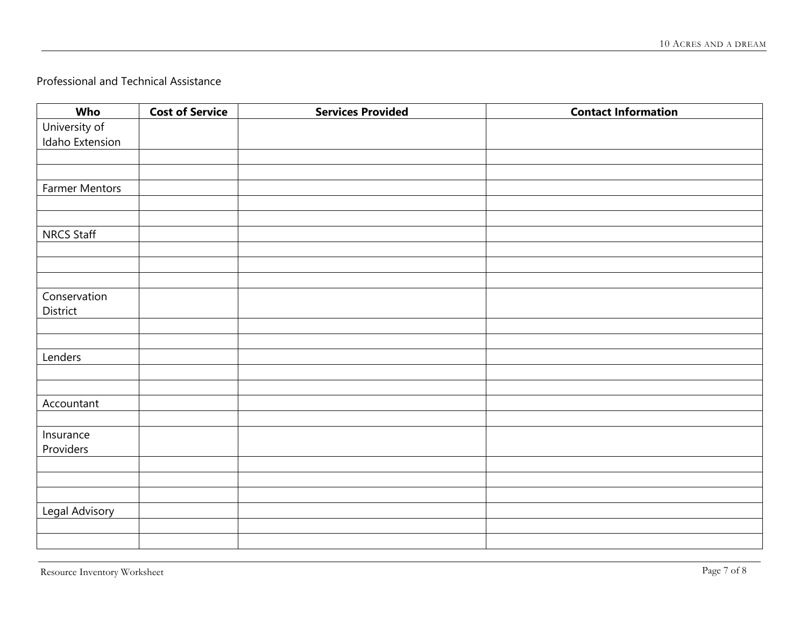## Professional and Technical Assistance

| Who                   | <b>Cost of Service</b> | <b>Services Provided</b> | <b>Contact Information</b> |
|-----------------------|------------------------|--------------------------|----------------------------|
| University of         |                        |                          |                            |
| Idaho Extension       |                        |                          |                            |
|                       |                        |                          |                            |
|                       |                        |                          |                            |
| <b>Farmer Mentors</b> |                        |                          |                            |
|                       |                        |                          |                            |
|                       |                        |                          |                            |
| <b>NRCS Staff</b>     |                        |                          |                            |
|                       |                        |                          |                            |
|                       |                        |                          |                            |
|                       |                        |                          |                            |
| Conservation          |                        |                          |                            |
| District              |                        |                          |                            |
|                       |                        |                          |                            |
|                       |                        |                          |                            |
| Lenders               |                        |                          |                            |
|                       |                        |                          |                            |
|                       |                        |                          |                            |
| Accountant            |                        |                          |                            |
|                       |                        |                          |                            |
| Insurance             |                        |                          |                            |
| Providers             |                        |                          |                            |
|                       |                        |                          |                            |
|                       |                        |                          |                            |
|                       |                        |                          |                            |
| <b>Legal Advisory</b> |                        |                          |                            |
|                       |                        |                          |                            |
|                       |                        |                          |                            |